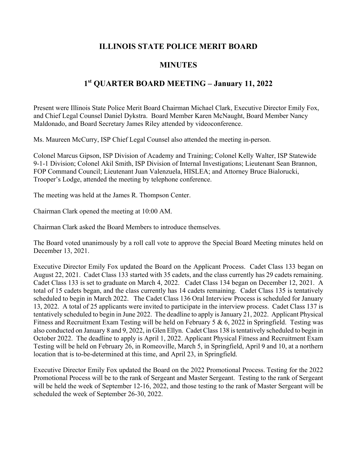## **ILLINOIS STATE POLICE MERIT BOARD**

## **MINUTES**

## **1st QUARTER BOARD MEETING – January 11, 2022**

Present were Illinois State Police Merit Board Chairman Michael Clark, Executive Director Emily Fox, and Chief Legal Counsel Daniel Dykstra. Board Member Karen McNaught, Board Member Nancy Maldonado, and Board Secretary James Riley attended by videoconference.

Ms. Maureen McCurry, ISP Chief Legal Counsel also attended the meeting in-person.

Colonel Marcus Gipson, ISP Division of Academy and Training; Colonel Kelly Walter, ISP Statewide 9-1-1 Division; Colonel Akil Smith, ISP Division of Internal Investigations; Lieutenant Sean Brannon, FOP Command Council; Lieutenant Juan Valenzuela, HISLEA; and Attorney Bruce Bialorucki, Trooper's Lodge, attended the meeting by telephone conference.

The meeting was held at the James R. Thompson Center.

Chairman Clark opened the meeting at 10:00 AM.

Chairman Clark asked the Board Members to introduce themselves.

The Board voted unanimously by a roll call vote to approve the Special Board Meeting minutes held on December 13, 2021.

Executive Director Emily Fox updated the Board on the Applicant Process. Cadet Class 133 began on August 22, 2021. Cadet Class 133 started with 35 cadets, and the class currently has 29 cadets remaining. Cadet Class 133 is set to graduate on March 4, 2022. Cadet Class 134 began on December 12, 2021. A total of 15 cadets began, and the class currently has 14 cadets remaining. Cadet Class 135 is tentatively scheduled to begin in March 2022. The Cadet Class 136 Oral Interview Process is scheduled for January 13, 2022. A total of 25 applicants were invited to participate in the interview process. Cadet Class 137 is tentatively scheduled to begin in June 2022. The deadline to apply is January 21, 2022. Applicant Physical Fitness and Recruitment Exam Testing will be held on February 5 & 6, 2022 in Springfield. Testing was also conducted on January 8 and 9, 2022, in Glen Ellyn. Cadet Class 138 is tentatively scheduled to begin in October 2022. The deadline to apply is April 1, 2022. Applicant Physical Fitness and Recruitment Exam Testing will be held on February 26, in Romeoville, March 5, in Springfield, April 9 and 10, at a northern location that is to-be-determined at this time, and April 23, in Springfield.

Executive Director Emily Fox updated the Board on the 2022 Promotional Process. Testing for the 2022 Promotional Process will be to the rank of Sergeant and Master Sergeant. Testing to the rank of Sergeant will be held the week of September 12-16, 2022, and those testing to the rank of Master Sergeant will be scheduled the week of September 26-30, 2022.